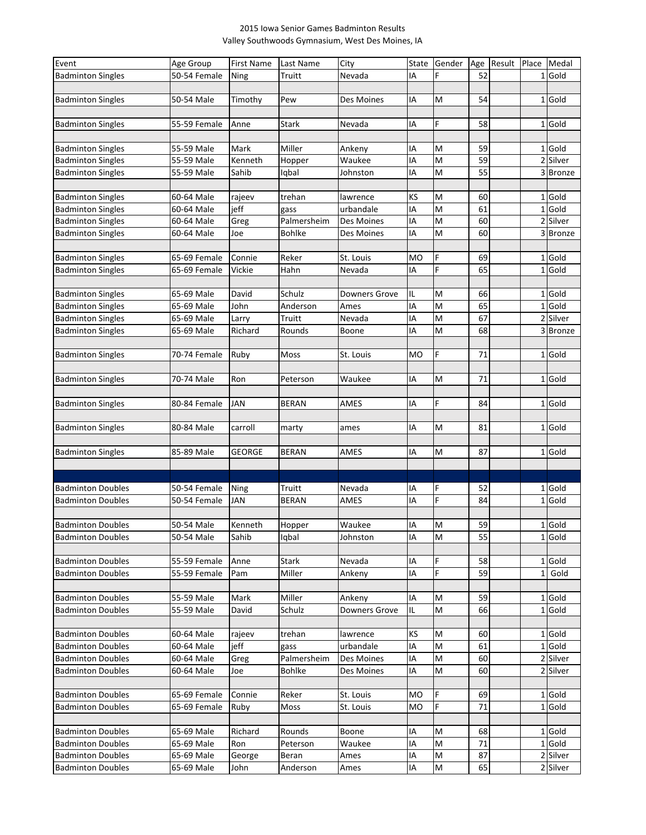## 2015 Iowa Senior Games Badminton Results Valley Southwoods Gymnasium, West Des Moines, IA

| Event                    | Age Group    | <b>First Name</b> | Last Name    | City                 | State     | Gender | Age | Result Place Medal |          |
|--------------------------|--------------|-------------------|--------------|----------------------|-----------|--------|-----|--------------------|----------|
| <b>Badminton Singles</b> | 50-54 Female | Ning              | Truitt       | Nevada               | IA        | F      | 52  |                    | 1 Gold   |
|                          |              |                   |              |                      |           |        |     |                    |          |
| <b>Badminton Singles</b> | 50-54 Male   | Timothy           | Pew          | Des Moines           | ١A        | M      | 54  |                    | 1 Gold   |
|                          |              |                   |              |                      |           |        |     |                    |          |
| <b>Badminton Singles</b> | 55-59 Female | Anne              | Stark        | Nevada               | IA        | F      | 58  |                    | 1 Gold   |
|                          |              |                   |              |                      |           |        |     |                    |          |
|                          |              |                   |              |                      |           |        |     |                    |          |
| <b>Badminton Singles</b> | 55-59 Male   | Mark              | Miller       | Ankeny               | IA        | M      | 59  |                    | 1 Gold   |
| <b>Badminton Singles</b> | 55-59 Male   | Kenneth           | Hopper       | Waukee               | IA        | M      | 59  |                    | 2 Silver |
| <b>Badminton Singles</b> | 55-59 Male   | Sahib             | Iqbal        | Johnston             | IA        | M      | 55  |                    | 3 Bronze |
|                          |              |                   |              |                      |           |        |     |                    |          |
| <b>Badminton Singles</b> | 60-64 Male   | rajeev            | trehan       | lawrence             | ΚS        | M      | 60  |                    | 1 Gold   |
| <b>Badminton Singles</b> | 60-64 Male   | jeff              | gass         | urbandale            | IA        | M      | 61  |                    | 1 Gold   |
| <b>Badminton Singles</b> | 60-64 Male   | Greg              | Palmersheim  | Des Moines           | IA        | M      | 60  |                    | 2 Silver |
| <b>Badminton Singles</b> | 60-64 Male   | Joe               | Bohlke       | Des Moines           | IA        | M      | 60  |                    | 3Bronze  |
|                          |              |                   |              |                      |           |        |     |                    |          |
| <b>Badminton Singles</b> | 65-69 Female | Connie            | Reker        | St. Louis            | <b>MO</b> | F      | 69  |                    | 1 Gold   |
| <b>Badminton Singles</b> | 65-69 Female | Vickie            | Hahn         | Nevada               | ΙA        | F      | 65  |                    | 1 Gold   |
|                          |              |                   |              |                      |           |        |     |                    |          |
| <b>Badminton Singles</b> | 65-69 Male   | David             | Schulz       | <b>Downers Grove</b> | IL        | M      | 66  |                    | 1 Gold   |
| <b>Badminton Singles</b> | 65-69 Male   | John              | Anderson     | Ames                 | IA        | M      | 65  |                    | 1 Gold   |
| <b>Badminton Singles</b> | 65-69 Male   | Larry             | Truitt       | Nevada               | IA        | M      | 67  |                    | 2 Silver |
| <b>Badminton Singles</b> | 65-69 Male   | Richard           | Rounds       | Boone                | IA        | M      | 68  |                    | 3 Bronze |
|                          |              |                   |              |                      |           |        |     |                    |          |
| <b>Badminton Singles</b> | 70-74 Female | Ruby              | Moss         | St. Louis            | <b>MO</b> | F      | 71  |                    | 1 Gold   |
|                          |              |                   |              |                      |           |        |     |                    |          |
| <b>Badminton Singles</b> | 70-74 Male   | Ron               | Peterson     | Waukee               | IA        | M      | 71  |                    | 1 Gold   |
|                          |              |                   |              |                      |           |        |     |                    |          |
| <b>Badminton Singles</b> | 80-84 Female | <b>JAN</b>        | <b>BERAN</b> | AMES                 | IA        | F      | 84  |                    | 1 Gold   |
|                          |              |                   |              |                      |           |        |     |                    |          |
| <b>Badminton Singles</b> | 80-84 Male   | carroll           |              | ames                 | ١A        | M      | 81  |                    | 1 Gold   |
|                          |              |                   | marty        |                      |           |        |     |                    |          |
|                          |              |                   |              | AMES                 |           | M      | 87  |                    | 1 Gold   |
| <b>Badminton Singles</b> | 85-89 Male   | <b>GEORGE</b>     | <b>BERAN</b> |                      | IA        |        |     |                    |          |
|                          |              |                   |              |                      |           |        |     |                    |          |
|                          |              |                   |              |                      |           |        |     |                    |          |
| <b>Badminton Doubles</b> | 50-54 Female | Ning              | Truitt       | Nevada               | IA        | F      | 52  |                    | 1 Gold   |
| <b>Badminton Doubles</b> | 50-54 Female | <b>JAN</b>        | <b>BERAN</b> | AMES                 | IA        | F      | 84  |                    | 1 Gold   |
|                          |              |                   |              |                      |           |        |     |                    |          |
| <b>Badminton Doubles</b> | 50-54 Male   | Kenneth           | Hopper       | Waukee               | IA        | M      | 59  |                    | 1 Gold   |
| <b>Badminton Doubles</b> | 50-54 Male   | Sahib             | Iqbal        | Johnston             | IA        | M      | 55  |                    | 1 Gold   |
|                          |              |                   |              |                      |           |        |     |                    |          |
| <b>Badminton Doubles</b> | 55-59 Female | Anne              | Stark        | Nevada               | IA        | F      | 58  |                    | 1 Gold   |
| <b>Badminton Doubles</b> | 55-59 Female | Pam               | Miller       | Ankeny               | ΙA        | F      | 59  |                    | 1 Gold   |
|                          |              |                   |              |                      |           |        |     |                    |          |
| <b>Badminton Doubles</b> | 55-59 Male   | Mark              | Miller       | Ankeny               | ΙA        | M      | 59  |                    | 1 Gold   |
| <b>Badminton Doubles</b> | 55-59 Male   | David             | Schulz       | <b>Downers Grove</b> | IL        | M      | 66  |                    | 1 Gold   |
|                          |              |                   |              |                      |           |        |     |                    |          |
| <b>Badminton Doubles</b> | 60-64 Male   | rajeev            | trehan       | lawrence             | KS        | M      | 60  |                    | 1 Gold   |
| <b>Badminton Doubles</b> | 60-64 Male   | jeff              | gass         | urbandale            | IA        | M      | 61  |                    | $1$ Gold |
| <b>Badminton Doubles</b> | 60-64 Male   | Greg              | Palmersheim  | Des Moines           | IA        | M      | 60  |                    | 2 Silver |
| <b>Badminton Doubles</b> | 60-64 Male   | Joe               | Bohlke       | Des Moines           | IA        | M      | 60  |                    | 2 Silver |
|                          |              |                   |              |                      |           |        |     |                    |          |
| <b>Badminton Doubles</b> | 65-69 Female | Connie            | Reker        | St. Louis            | мo        | F      | 69  |                    | 1 Gold   |
| <b>Badminton Doubles</b> | 65-69 Female | Ruby              | Moss         | St. Louis            | мo        | F      | 71  |                    | 1 Gold   |
|                          |              |                   |              |                      |           |        |     |                    |          |
| <b>Badminton Doubles</b> | 65-69 Male   | Richard           | Rounds       | Boone                | ΙA        | M      | 68  |                    | 1 Gold   |
| <b>Badminton Doubles</b> | 65-69 Male   | Ron               | Peterson     | Waukee               | IA        | M      | 71  |                    | 1 Gold   |
| <b>Badminton Doubles</b> | 65-69 Male   |                   | Beran        | Ames                 | IA        | M      | 87  |                    | 2 Silver |
|                          |              | George            |              |                      |           | M      |     |                    |          |
| <b>Badminton Doubles</b> | 65-69 Male   | John              | Anderson     | Ames                 | IA        |        | 65  |                    | 2 Silver |